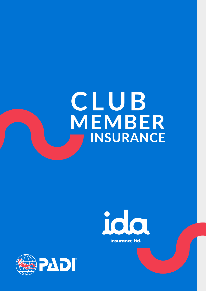# CLUB MEMBER INSURANCE



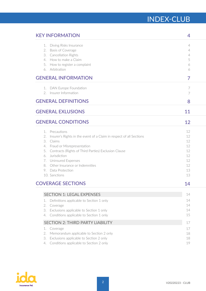# INDEX-CLUB

| <b>KEY INFORMATION</b>                                                 | 4        |
|------------------------------------------------------------------------|----------|
| Diving Risks Insurance<br>1.                                           | 4        |
| 2. Basis of Coverage                                                   | 4        |
| 3. Cancellation Rights                                                 | 4        |
| 4. How to make a Claim                                                 | 5        |
| 5. How to register a complaint<br>6. Arbitration                       | 6<br>6   |
|                                                                        |          |
| <b>GENERAL INFORMATION</b>                                             | 7        |
| 1. DAN Europe Foundation                                               | 7        |
| 2. Insurer Information                                                 | 7        |
| <b>GENERAL DEFINITIONS</b>                                             | 8        |
| <b>GENERAL EXLUSIONS</b>                                               | 11       |
| <b>GENERAL CONDITIONS</b>                                              | 12       |
| Precautions<br>1.                                                      | 12       |
| 2. Insurer's Rights in the event of a Claim in respect of all Sections | 12       |
| 3. Claims                                                              | 12       |
| 4. Fraud or Misrepresentation                                          | 12       |
| 5. Contracts (Rights of Third Parties) Exclusion Clause                | 12       |
| 6. Jurisdiction                                                        | 12       |
| 7. Uninsured Expenses<br>8. Other Insurance or Indemnities             | 12<br>12 |
| 9. Data Protection                                                     | 13       |
| 10. Sanctions                                                          | 13       |
| <b>COVERAGE SECTIONS</b>                                               | 14       |
|                                                                        |          |
| <b>SECTION 1: LEGAL EXPENSES</b>                                       | 14       |
| Definitions applicable to Section 1 only<br>1.                         | 14       |
| 2.<br>Coverage                                                         | 14       |
| Exclusions applicable to Section 1 only<br>3.                          | 14       |
| Conditions applicable to Section 1 only<br>4.                          | 15       |
| <b>SECTION 2: THIRD PARTY LIABILITY</b>                                | 17       |
| 1.<br>Coverage                                                         | 17       |
| 2.<br>Memorandum applicable to Section 2 only                          | 18       |
| Exclusions applicable to Section 2 only<br>3.                          | 18       |
| Conditions applicable to Section 2 only<br>4.                          | 19       |

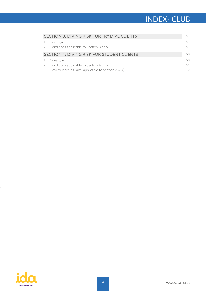# **TITLE INDEX- CLUB**

| SECTION 3: DIVING RISK FOR TRY DIVE CLIENTS               | 21       |
|-----------------------------------------------------------|----------|
| 1. Coverage<br>2. Conditions applicable to Section 3 only | 21<br>21 |
| SECTION 4: DIVING RISK FOR STUDENT CLIENTS                | 22       |
| 1. Coverage                                               | 22       |
| 2. Conditions applicable to Section 4 only                | 22       |
| 3. How to make a Claim (applicable to Section $3 \& 4$ )  | 23       |

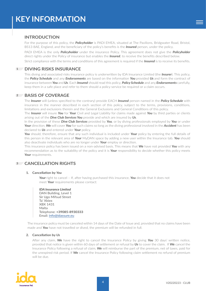## <span id="page-3-0"></span>**INTRODUCTION**

For the purpose of this policy, the *Policyholder* is PADI EMEA, situated at The Pavilions, Bridgwater Road, Bristol, BS13 8AE, England, and the beneficiary of the policy's benefits is the *Insured* person, under the policy.

PADI EMEA is the only *Policyholder* under the insurance Policy. This agreement does not give the *Policyholder*  direct rights under the Policy of insurance but enables the *Insured*, to receive the benefits described below.

Strict compliance with the terms and conditions of this agreement is required if the *Insured* is to receive its benefits.

## **DIVING RISKS INSURANCE 1**

This diving and associated risks insurance policy is underwritten by IDA Insurance Limited (the *Insurer*). This policy, the *Policy Schedule* and any *Endorsements* are based on the information *You* provided *Us* and form the contract of insurance between*You* and*Us*. Each *Insured* should read this policy, *Policy Schedule* and any *Endorsements* carefully, keep them in a safe place and refer to them should a policy service be required or a claim occurs.

## **BASIS OF COVERAGE 2**

The *Insurer* will (unless specified to the contrary) provide EACH *Insured* person named in the *Policy Schedule* with insurance in the manner described in each section of this policy, subject to the terms, provisions, conditions, limitations and exclusions therein and the General Exclusions and General Conditions of this policy.

The *Insurer* will insure *You* for *Your* Civil and Legal Liability for claims made against *You* by third parties or clients arising out of the *Dive Club Services You* provide and which are insured by *Us*.

In the provision of these *Dive Club Services* provided by *You*, or by diving professionals employed by *You* or under *Your* direction, *We* will cover *You* for such claims so long as the diving professional involved in the *Accident* has been declared to *Us* and entered under *Your* policy.

*You* should, therefore, ensure that any such individual is included under *Your* policy by entering the full details of this person in the relevant area of *Your* MyDAN space by adding a new user within the Insurance tab. *You* should also deactivate individuals who are no longer under *Your* employ or direction.

This insurance policy has been issued on a non-advised basis. This means that *We* have not provided *You* with any recommendation as to the suitability of the policy and it is *Your* responsibility to decide whether this policy meets *Your* requirements.

## **CANCELLATION RIGHTS 3**

#### **1. Cancellation by** *You*

*Your* right to cancel – If, after having purchased this insurance, *You* decide that it does not meet *Your* requirements please contact:

*IDA Insurance Limited* DAN Building, Level 1 Sir Ugo Mifsud Street Ta' Xbiex XBX 1431 Malta Telephone: **+39085-8930333** Email: [info@idassure.eu](mailto:info%40idassure.eu?subject=)

The insurance policy must be canceled within 14 days of the Date of Issue and, provided that no claims have been made and *You* have not travelled or dived, the premium will be refunded in full.

#### **2. Cancellation by** *Us*

After any claim, *We* have the right to cancel the Insurance Policy by giving *You* 30 days' written notice, provided that notice is given within 60 days of settlement or refusal by *Us* to cover the claim. If *We* cancel the Insurance Policy following a refusal of claim, *We* will reimburse the part of the premium, net of taxes, paid for the unexpired risk period. If *We* cancel the Insurance Policy following claim settlement no refund of premium will be due.

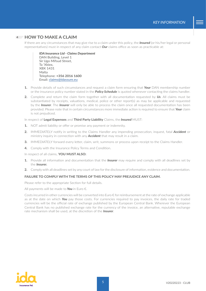#### **HOW TO MAKE A CLAIM 4**

If there are any circumstances that may give rise to a claim under this policy, the *Insured* (or his/her legal or personal representatives) must in respect of any claim contact *Our* claims office as soon as practicable at:

*IDA Insurance Ltd - Claims Department* DAN Building, Level 1 Sir Ugo Mifsud Street, Ta 'Xbiex, XBX 1431 Malta Telephone: **+356 2016 1600** Email: [claims@idassure.eu](mailto:claims%40idassure.eu?subject=)

- **1.** Provide details of such circumstances and request a claim form ensuring that *Your* DAN membership number or the insurance policy number stated in the *Policy Schedule* is quoted whenever contacting the claims handler.
- **2.** Complete and return the claim form together with all documentation requested by *Us*. All claims must be substantiated by receipts, valuations, medical, police or other report(s) as may be applicable and requested by the *Insurer*. The *Insurer* will only be able to process the claim once all requested documentation has been provided. Please note that in certain circumstances more immediate action is required to ensure that *Your* claim is not prejudiced.

In respect of **Legal Expenses** and **Third Party Liability** Claims, the *Insured* MUST:

- **1.** NOT admit liability or offer or promise any payment or indemnity.
- **2.** IMMEDIATELY notify in writing to the Claims Handler any impending prosecution, inquest, fatal *Accident* or ministry inquiry in connection with any *Accident* that may result in a claim.
- **3.** IMMEDIATELY forward every letter, claim, writ, summons or process upon receipt to the Claims Handler.
- **4.** Comply with the Insurance Policy Terms and Condition.

In respect of all claims, **YOU MUST ALSO:**

- **1.** Provide all information and documentation that the *Insurer* may require and comply with all deadlines set by the *Insurer.*
- **2.** Comply with all deadlines set by any court of law for the disclosure of information, evidence and documentation.

#### **FAILURE TO COMPLY WITH THE TERMS OF THIS POLICY MAY PREJUDICE ANY CLAIM.**

Please refer to the appropriate Section for full details.

All payments will be made to *You* in Euro €.

Costs incurred in other currencies will be converted into Euro  $\epsilon$  for reimbursement at the rate of exchange applicable as at the date on which *You* pay those costs. For currencies required to pay invoices, the daily rate for traded currencies will be the official rate of exchange published by the European Central Bank. Wherever the European Central Bank has no published exchange rate for the currency of the invoice, an alternative, reputable exchange rate mechanism shall be used, at the discretion of the *Insurer*.

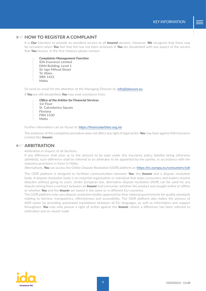#### **HOW TO REGISTER A COMPLAINT 5**

It is *Our* intention to provide an excellent service to all *Insured* persons. However, *We* recognise that there may be occasions when *You* feel that this has not been achieved. If *You* are dissatisfied with any aspect of the service that *You* receive, in the first instance please contact:

*Complaints Management Function* IDA Insurance Limited DAN Building, Level 1 Sir Ugo Mifsud Street Ta' Xbiex XBX 1431 Malta

Or send an email for the attention of the Managing Director to: [info@idassure.eu](mailto:info%40idassure.eu?subject=)

If *You* are still dissatisfied, *You* may seek assistance from:

#### *Office of the Arbiter for Financial Services*

1st Floor St. Calcedonius Square Floriana FRN 1530 Malta

Further information can be found at: [https://financialarbiter.org.mt](https://financialarbiter.org.mt/)

The existence of this complaints procedure does not affect any right of legal action *You* may have against IDA Insurance Limited (the *Insurer*).

#### **ARBITRATION 6**

Arbitration in respect of all Sections.

If any difference shall arise as to the amount to be paid under this insurance policy (liability being otherwise admitted), such difference shall be referred to an arbitrator to be appointed by the parties, in accordance with the statutory provisions in force in Malta.

Alternatively, *You* can access the Online Dispute Resolution (ODR) platform at: <https://ec.europa.eu/consumers/odr>

The ODR platform is designed to facilitate communication between *You*, the *Insurer* and a dispute resolution body. A dispute resolution body is an impartial organisation or individual that helps consumers and traders resolve disputes without going to court. Under European law, alternative dispute resolution (ADR) can be used for any dispute arising from a contract between an *Insurer* and consumer, whether the product was bought online or offline or whether *You* and the *Insurer* are based in the same or in different EU countries.

The ODR platform only uses dispute resolution bodies approved by their national governments for quality standards relating to fairness, transparency, effectiveness and accessibility. The ODR platform also makes the process of ADR easier by providing automated translations between all EU languages, as well as information and support throughout. *You* may only pursue a right of action against the *Insurer*, where a difference has been referred to arbitration and an award made.

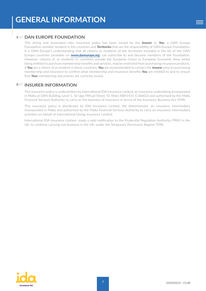## <span id="page-6-0"></span>**1** DAN EUROPE FOUNDATION

This diving and associated risks insurance policy has been issued by the *Insurer* to *You*, a DAN Europe Foundation member resident in the countries and *Territories* that are the responsibility of DAN Europe Foundation. It is DAN Europe's understanding that all citizens or residents of the territories included in the list of the DAN Europe countries (available on **[www.daneurope.org](http://www.daneurope.org/home)**) can subscribe to and become members of the Foundation. However, citizens of, or residents in, countries outside the European Union or European Economic Area, whilst being entitled to purchase membership benefits and services, may be restricted from purchasing insurance products. If *You* are a citizen of or resident in these countries, *You* are recommended to contact the *Insurer* prior to purchasing membership and insurance to confirm what membership and insurance benefits *You* are entitled to and to ensure that *Your* membership documents are correctly issued.

## **INSURER INFORMATION 2**

This insurance policy is underwritten by International IDA Insurance Limited, an insurance undertaking incorporated in Malta at DAN Building, Level 1, Sir Ugo Mifsud Street, Ta' Xbiex XBX1431 (C36602) and authorised by the Malta Financial Services Authority to carry on the business of insurance in terms of the Insurance Business Act 1998.

This insurance policy is distributed by IDA Insurance Limited, the Administrator, an insurance intermediary incorporated in Malta and authorised by the Malta Financial Services Authority to carry on insurance intermediary activities on behalf of International Diving Insurance Limited.

International IDA Insurance Limited made a valid notification to the Prudential Regulation Authority ('PRA') in the UK, to continue carrying out business in the UK, under the Temporary Permission Regime (TPR).

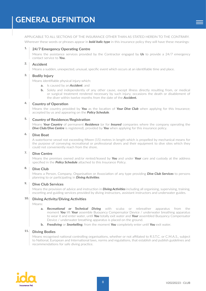<span id="page-7-0"></span>APPLICABLE TO ALL SECTIONS OF THE INSURANCE OTHER THAN AS STATED HEREIN TO THE CONTRARY. Wherever these words or phrases appear in *bold italic type* in this insurance policy they will have these meanings:

#### **24/7 Emergency Operating Centre 1.**

Means the assistance services provided by the Contractor engaged by *Us* to provide a 24/7 emergency contact service to *You.*

#### **Accident 2.**

Means a sudden, unexpected, unusual, specific event which occurs at an identifiable time and place.

#### **Bodily Injury 3.**

Means identifiable physical injury which:

- **a.** Is caused by an *Accident*; and
- **b.** Solely and independently of any other cause, except illness directly resulting from, or medical or surgical treatment rendered necessary by such injury, occasions the death or disablement of the diver within twelve months from the date of the *Accident.*

#### **Country of Operation 4.**

Means the country provided by *You* as the location of *Your Dive Club* when applying for this Insurance; accepted by us and appearing on the *Policy Schedule*.

#### **Country of Residence/Registration 5.**

Means *Your Country* of permanent *Residence* (or for *Insured* companies where the company operating the **Dive Club/Dive Centre** is registered), provided by **You** when applying for this insurance policy.

#### **Dive Boat 6.**

A waterborne vessel not exceeding fifteen (15) metres in length which is propelled by mechanical means for the purpose of conveying recreational or professional divers and their equipment to dive sites which they could not conveniently reach from the shore.

#### **Dive Centre 7.**

Means the premises owned and/or rented/leased by *You* and under *Your* care and custody at the address specified in the *Policy Schedule* attached to this Insurance Policy.

#### **Dive Club 8.**

Means a Person, Company, Organisation or Association of any type providing *Dive Club Services* to persons planning to or participating in *Diving Activities*.

#### **Dive Club Services 9.**

Means the provision of advice and instruction in *Diving Activities* including all organising, supervising, training, escorting and guiding services provided by diving instructors, assistant instructors and underwater guides.

#### **Diving Activity/Diving Activities 10.**

Means:

- **a.** *Recreational or Technical Diving* with scuba or rebreather apparatus from the moment *You* lift *Your* assemble Buoyancy Compensator Device / underwater breathing apparatus to wear it and enter water, until *You* totally exit water and *Your* assembled Buoyancy Compensator Device / underwater breathing apparatus is placed on the ground.
- **b.** *Freediving* or *Snorkelling*, from the moment *You* completely enter until *You* exit water.

#### **Diving Bodies 11.**

Means recognised national controlling organisations, whether or not affiliated to R.S.T.C. or C.M.A.S., subject to National, European and International laws, norms and regulations, that establish and publish guidelines and recommendations for safe diving practice.

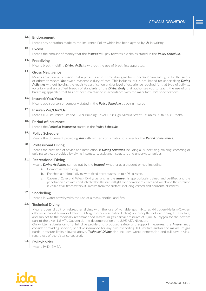#### **Endorsement 12.**

Means any alteration made to the Insurance Policy which has been agreed by *Us* in writing.

#### **Excess 13.**

Means the amount of money that the *Insured* will pay towards a claim as stated in the *Policy Schedule.*

#### **Freediving 14.**

Means breath-holding *Diving Activity* without the use of breathing apparatus.

#### **Gross Negligence 15.**

Means an action or omission that represents an extreme disregard for either *Your* own safety, or for the safety of others to whom *You* owe a reasonable duty of care. This includes, but is not limited to: undertaking *Diving Activities* without holding the requisite certification and/or level of experience required for that type of activity; voluntary and unjustified breach of standards of the *Diving Body* that authorises you to teach; the use of any breathing apparatus that has not been maintained in accordance with the manufacturer's specifications.

#### **16. Insured/You/Your**

Means each person or company stated in the *Policy Schedule* as being insured.

#### **Insurer/We/Our/Us 17.**

Means IDA Insurance Limited, DAN Building, Level 1, Sir Ugo Mifsud Street, Ta' Xbiex, XBX 1431, Malta.

#### **Period of Insurance 18.**

Means the *Period of Insurance* stated in the *Policy Schedule.*

#### **19. Policy Schedule**

Means the document providing *You* with written confirmation of cover for the *Period of Insurance.*

#### **20. Professional Diving**

Means the provision of advice and instruction in *Diving Activities* including all supervising, training, escorting or guiding services provided by diving instructors, assistant instructors and underwater guides.

#### **21. Recreational Diving**

Means *Diving Activities* carried out by the *Insured*, whether as a student or not, including:

- **a.** Compressed air diving.
- **b.** Enriched air "nitrox" diving with fixed percentages up to 40% oxygen.
- **c.** Cavern / Cave and Wreck Diving as long as the *Insured* is appropriately trained and certified and the penetration dives are conducted within the natural light zone of a cavern / cave and wreck and the entrance is visible at all times within 40 metres from the surface, including vertical and horizontal distances.

#### **Snorkelling 22.**

Means in-water activity with the use of a mask, snorkel and fins.

#### **Technical Diving 23.**

Means open circuit or rebreather diving with the use of variable gas mixtures (Nitrogen-Helium-Oxygen otherwise called Trimix or Helium – Oxygen otherwise called Heliox) up to depths not exceeding 130 metres, and subject to the medically recommended maximum gas partial pressures of 1,4ATA Oxygen for the bottom part of the dive, 1,6 ATA Oxygen during decompression and 3,95 ATA Nitrogen.

On written submission of a full dive profile and proposed safety and support measures, the *Insurer* may consider providing specific, per-dive insurance for any dive exceeding 130 metres and/or the maximum gas partial pressure limits allowed above. *Technical Diving* also includes wreck penetration and full cave diving, regardless of the distance covered.

#### **24. Policyholder**

Means PADI EMEA

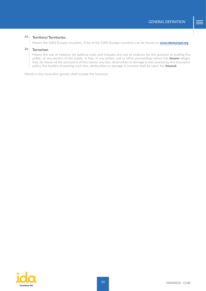#### **Territory/Territories 25.**

Means the DAN Europe countries. A list of the DAN Europe countries can be found on **[www.daneurope.org](http://www.daneurope.org/home)**

#### **Terrorism 26.**

Means the use of violence for political ends and includes any use of violence for the purpose of putting the public, or any section of the public, in fear. In any action, suit or other proceedings where the *Insurer* alleges that, by reason of the provisions of this clause, any loss, destruction or damage is not covered by this Insurance policy, the burden of proving such loss, destruction or damage is covered shall be upon the *Insured.*

Words in the masculine gender shall include the feminine.

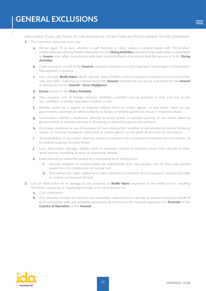<span id="page-10-0"></span>APPLICABLE TO ALL SECTIONS OF THE INSURANCE OTHER THAN AS STATED HEREIN TO THE CONTRARY.

- **1.** This insurance does not cover any:
	- **a.** Person aged 75 or over, whether a staff member or client, unless a medical report with "Fit-to-Dive" certification by a Diving Medical Specialist for the *Diving Activities* intended to be undertaken is submitted to *Insurer* who, after consultation with their medical officers may accept that the person is fit for *Diving Activities*.
	- **b.** Claim arising as a result of the *Insured* carrying on business as a Tour Operator, Travel Agent or Destination Management Company.
	- **c.** Loss, damage, *Bodily Injury*, death, disease, illness, liability costs or expenses arising out of or in connection with any wilful, malicious or criminal act of the *Insured* or breach of any law or enactment by the *Insured* or arising out of the *Insured*'s *Gross Negligence*.
	- **d.** *Excess* shown in the *Policy Schedule*.
	- **e.** War, invasion, acts of foreign enemies, hostilities (whether war be declared or not), civil war or any act, condition or warlike operation incident to war.
	- **f.** Warlike action by a regular or irregular military force or civilian agents, or any action taken by any government, sovereign or other authority to hinder or defend against an actual or expected attack.
	- **g.** Insurrection, rebellion, revolution, attempt to usurp power, or popular uprising, or any action taken by governmental or martial authority in hindering or defending against any of these.
	- **h.** Discharge, explosion or use of a weapon of mass destruction, whether or not employing nuclear fission or fusion, or chemical, biological, radioactive or similar agents, by any party at any time for any reason.
	- **i.** Terrorist Action or any action taken by anyone to prevent real or perceived imminent Terrorist Action, or to address ongoing Terrorist Action.
	- **j.** Loss, destruction, damage, liability costs or expenses caused by pressure waves from aircraft or other aerial devices, travelling at sonic or supersonic speeds.
	- **k.** Claim directly or indirectly caused by, contributed to or arising from:
		- **i.** Ionising radiation or contamination by radioactivity from any nuclear fuel, or from any nuclear waste from the combustion of nuclear fuel.
		- **ii.** The radioactive, toxic, explosive or other hazardous properties of any explosive, nuclear assembly or nuclear component thereof.
- **2.** Loss or destruction of or damage to any property or *Bodily Injury* anywhere in the world or loss resulting therefrom caused by or happening through or in consequence of:
	- **a.** Civil commotion.
	- **b.** Any unlawful, wanton or malicious act committed maliciously by a person or persons acting on behalf of or in connection with any unlawful association as defined by the national legislation on *Terrorism* in the *Country of Operation* of the *Insured*.

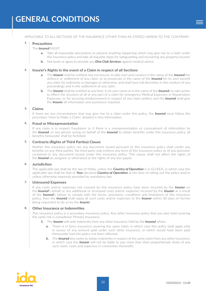<span id="page-11-0"></span>APPLICABLE TO ALL SECTIONS OF THE INSURANCE OTHER THAN AS STATED HEREIN TO THE CONTRARY.

#### **Precautions 1.**

#### The *Insured* MUST:

- Take all reasonable precautions to prevent anything happening which may give rise to a claim under this insurance policy and take all requisite steps for safeguarding and recovering any property insured.
- **b.** Not book or agree to provide any *Dive Club Services* against medical advice.

#### **Insurer's Rights in the event of a Claim in respect of all Sections 2.**

- **a.** The *Insurer* shall be entitled, but not bound, to take over and conduct in the name of the *Insured* the defence or settlement of any claim, or to prosecute in the name of the *Insured* for its own benefit any claim for indemnity or damages or otherwise, and shall have full discretion in the conduct of any proceedings and in the settlement of any claim.
- **b.** The *Insurer* shall be entitled at any time, in its own name or in the name of the *Insured*, to take action to effect the recovery of all or any part of a claim for emergency Medical Expenses or Repatriation Expenses, or for securing reimbursement in respect of any claim settled, and the *Insured* shall give the *Insurer* all information and assistance required.

#### **Claims 3.**

If there are any circumstances that may give rise to a claim under this policy, the *Insured* must follow the procedure 'How to Make a Claim', detailed in Key Information.

#### **Fraud or Misrepresentation 4.**

If any claim is in respect fraudulent or if there is a misrepresentation or concealment of information by the *Insured*, or any person acting on behalf of the *Insured* to obtain benefits under this insurance policy, all benefits hereunder shall be forfeited.

#### **Contracts (Rights of Third Parties) Clause 5.**

Neither this insurance policy nor any document issued pursuant to this insurance policy shall confer any benefits on any third parties. No third party may enforce any term of this insurance policy or of any provision contained in any document issued under this insurance policy. This clause shall not affect the rights of the *Insured* (as assignee or otherwise) or the rights of any loss payee.

#### **Jurisdiction 6.**

The applicable law shall be the law of Malta, unless the *Country of Operation* is in EU/EEA, in which case the applicable law shall be that of *Your* declared *Country of Operation* at the time of taking out the policy and/or unless otherwise expressly provided by mandatory law.

#### **Uninsured Expenses 7.**

If any costs and/or expenses not covered by this insurance policy have been incurred by the *Insurer* on the *Insured*'s behalf or any additional or increased costs and/or expenses incurred by the *Insurer* as a result of the *Insured*'s failure to comply with the terms, provisions, conditions and limitations of this insurance policy, then the *Insured* shall repay all such costs and/or expenses to the *Insurer* within 30 days of his/her being requested to do so by the *Insurer*.

#### **Other Insurance or Indemnities 8.**

This insurance policy is a secondary insurance policy. Any other insurance policy that you also hold covering the same risk is considered 'Primary Insurance'.

- **1.** The *Insurer* will seek indemnity from any other insurance held by the *Insured* where:
	- **a.** There is in force insurance covering the same claim, in which case this policy shall apply only in excess of any amount paid under such other insurance, or which would have been paid thereunder had this policy not been effected.
	- **b.** The *Insured* also seeks to obtain indemnity in respect of the same claim from any other insurance, in which case the *Insurer* will not be liable to pay more than their proportionate share of any such claim, costs and expenses in connection therewith.

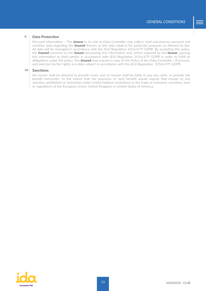#### **Data Protection 9.**

Personal Information – The *Insurer* in its role as Data Controller may collect, hold and process personal and sensitive data regarding the *Insured* (known as the data subject) for particular purposes as allowed by law. All data will be managed in accordance with the (EU) Regulation 2016/679 GDPR. By accepting this policy, the *Insured* consents to the *Insurer* processing this information and, where required by the *Insurer*, passing this information to third parties in accordance with (EU) Regulation 2016/679 GDPR in order to fulfill its obligations under the policy. The *Insured* may request a copy of the Policy of the Data Controller / Processor, and exercise his/her rights as a data subject in accordance with the (EU) Regulation 2016/679 GDPR.

#### **Sanctions 10.**

No insurer shall be deemed to provide cover, and no insurer shall be liable to pay any claim, or provide any benefit hereunder, to the extent that the provision of such benefit would expose that insurer to any sanction, prohibition or restriction under United Nations resolutions or the trade or economic sanctions, laws or regulations of the European Union, United Kingdom or United States of America.

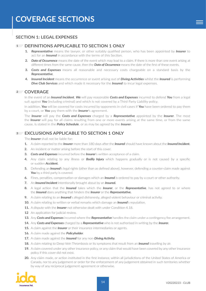## <span id="page-13-1"></span><span id="page-13-0"></span>**SECTION 1: LEGAL EXPENSES**

## **DEFINITIONS APPLICABLE TO SECTION 1 ONLY 1**

- **1.** *Representative* means the lawyer, or other suitably qualified person, who has been appointed by *Insurer* to act for an *Insured* in accordance with the terms of this Section.
- **2.** *Date of Occurrence* means the date of the event which may lead to a claim. If there is more than one event arising at different times from the same cause, then the *Date of Occurrence* means the date of the first of these events.
- **3.** *Costs and Expenses* means all reasonable and necessary costs chargeable on a standard basis by the *Representative*.
- **4.** *Insured Incident* means the occurrence or event arising out of *Diving Activities* whilst the *Insured* is performing *Dive Club Services* and which made it necessary for the *Insured* to incur legal expenses.

## **COVERAGE 2**

In the event of an *Insured Incident*, *We* will pay reasonable *Costs and Expenses* incurred to defend *You* from a legal suit against *You* (including criminal) and which is not covered by a Third Party Liability policy.

In addition, *You* will be covered for costs incurred by opponents in civil cases if *You* have been ordered to pay them by a court, or *You* pay them with the *Insurer*'s agreement.

The *Insurer* will pay the *Costs and Expenses* charged by a *Representative* appointed by the *Insurer*. The most the *Insurer* will pay for all claims resulting from one or more events arising at the same time, or from the same cause, is stated in the *Policy Schedule*, or as may be agreed by the *Insurer*.

## **EXCLUSIONS APPLICABLE TO SECTION 1 ONLY 3**

The *Insurer* shall not be liable for:

- **1.** A claim reported to the *Insurer* more than 180 days after the *Insured* should have known about the *Insured Incident.*
- **2.** An incident or matter arising before the start of this cover.
- **3.** *Costs and Expenses* incurred before the *Insurer*'s written acceptance of a claim.
- **4.** Any claim relating to any illness or *Bodily Injury* which happens gradually or is not caused by a specific or sudden *Accident.*
- **5.** Defending an *Insured*'s legal rights (other than as defined above), however, defending a counter-claim made against You by a third party is covered.
- **6.** Fines, penalties, compensation or damages which an *Insured* is ordered to pay by a court or other authority.
- **7.** An *Insured Incident* intentionally brought about by an *Insured.*
- **8.** A legal action that the *Insured* takes which the *Insurer*, or the *Representative*, has not agreed to or where the *Insured* does anything that hinders the *Insurer* or the *Representative.*
- **9.** A claim relating to an *Insured*'s alleged dishonesty, alleged violent behaviour or criminal activity.
- **10.** A claim relating to written or verbal remarks which damage an *Insured*'s reputation.
- **11.** A dispute with the *Insurer* not otherwise dealt with under Condition 4.18.
- **12** An application for judicial review.
- **13.** Any *Costs and Expenses* incurred where the *Representative* handles the claim under a contingency fee arrangement.
- **14.** Any *Costs and Expenses* charged by a *Representative* who is not authorised in writing by the *Insurer.*
- **15.** A claim against the *Insurer* or their insurance intermediaries or agents.
- **16.** A claim made against the *Policyholder*.
- **17.** A claim made against the *Insured* for any non-*Diving Activity.*
- **18.** A claim relating to Deep Vein Thrombosis or its symptoms that result from an *Insured* travelling by air.
- **19.** A claim covered under any other insurance policy, or any claim that would have been covered by any other insurance policy if this cover did not exist.
- **20.** Any claim made, or action instituted in the first instance, within all jurisdictions of the United States of America or Canada, nor to any judgement or order for the enforcement of any judgement obtained in such territories whether by way of any reciprocal judgement agreement or otherwise.

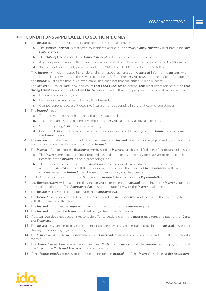### **CONDITIONS APPLICABLE TO SECTION 1 ONLY 4**

- **1.** The *Insurer* agrees to provide the insurance in this Section as long as:
	- **a.** The *Insured Incident* is restricted to incidents arising out of *Your Diving Activities* whilst providing *Dive Club Services*.
	- **b.** The *Date of Occurrence* of the *Insured Incident* is during the operative time of cover.
	- **c.** Any legal proceedings, whether civil or criminal, will be dealt with by a court, or other body the *Insurer* agrees to.
	- **d.** Such cover is not already provided under the Third Party Liability section of this Policy.

The *Insurer* will help in appealing or defending an appeal as long as the *Insured* informs the *Insurer*, within the time limits allowed, that they want to appeal. Before the *Insurer* pays the Legal Costs for appeals, the *Insurer* must agree that it is always more likely than not that the appeal will be successful.

- **2.** The *Insurer* will cover *Your* legal and court *Costs and Expenses* to defend *Your* legal rights arising out of *Your Diving Activities* whilst providing *Dive Club Services* provided that third party and professional liability insurance:
	- **a.** Is current and in force; and
	- **b.** Has responded up to the full policy limit insured; or
	- **c.** Cannot respond because it does not insure or is not operative in the particular circumstances.
- **3.** The *Insured* must:
	- **a.** Try to prevent anything happening that may cause a claim.
	- **b.** Take reasonable steps to keep any amount the *Insurer* has to pay as low as possible.
	- **c.** Send everything *Insurer* asks for, in writing.
	- **d.** Give the *Insurer* full details of any claim as soon as possible and give the *Insurer* any information the *Insurer* needs.
- **4.** The *Insurer* can take over and conduct, in the name of an *Insured*, any claim or legal proceedings at any time and can negotiate any claim on behalf of an *Insured*.
- **5.** The *Insured* is free to choose a *Representative* (by sending *Insurer* a suitably qualified person's name and address) if:
	- **a.** The *Insurer* agrees to start court proceedings and it becomes necessary for a lawyer to represent the interests of the *Insured* in those proceedings; or
	- **b.** There is a conflict of interest; the *Insurer* may, in exceptional circumstances, chooses not to accept the *Insured*'s choice. If there is a disagreement over the choice of *Representative* in these circumstances, the *Insured* may choose another suitably qualified person.
- **6.** In all circumstances except those in 5 above, the *Insurer* is free to choose a *Representative***.**
- **7.** Any *Representative* will be appointed by the *Insurer* to represent the *Insured* according to the *Insurer*'s standard terms of appointment. The *Representative* must co-operate fully with the *Insurer* at all times.
- **8.** The *Insurer* will have direct contact with the *Representative***.**
- **9.** The *Insured* must co-operate fully with the *Insurer* and the *Representative* and must keep the Insurer up to date with the progress of the claim.
- **10.** The *Insured* must give the *Representative* any instructions that the *Insurer* requires.
- **11.** The *Insured* must tell the *Insurer* if a third party offers to settle the claim.
- **12.** If the *Insured* does not accept a reasonable offer to settle a claim, the *Insurer* may refuse to pay further *Costs and Expenses***.**
- **13.** The *Insurer* may decide to pay the amount of damages which is being claimed against the *Insured*, instead of starting or continuing legal proceedings.
- **14.** The *Insured* must tell the *Representative* to have*Costs and Expenses* taxed, assessed or audited, if the *Insurer* asks for this.
- **15.** The *Insured* must take every step to recover *Costs and Expenses* that the *Insurer* has to pay and must pay *Insurer* any *Costs and Expenses* that are recovered.
- **16.** If the *Representative* refuses to continue acting for the *Insured*, or if the *Insured* dismisses a *Representative*,

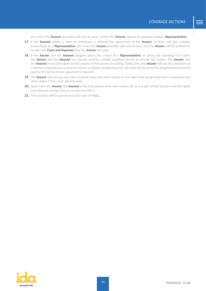the cover the *Insurer* provides will end at once, unless the *Insurer* agrees to appoint another *Representative***.**

- **17.** If the *Insured* settles a claim or withdraws it without the agreement of the *Insurer*, or does not give suitable instructions to a *Representative*, the cover the *Insurer* provides will end at once and the *Insurer* will be entitled to reclaim any *Costs and Expenses* that the *Insurer* has paid.
- **18.** If the *Insurer* and the *Insured* disagree about the choice of a *Representative*, or about the handling of a claim, the *Insurer* and the *Insured* can choose another suitably qualified person to decide the matter. The *Insurer* and the *Insured* must both agree to the choice of this person in writing. Failing this, the *Insurer* will ask the president of a relevant national law society to choose a suitably qualified person. All costs of resolving the disagreement must be paid by the party whose argument is rejected.
- **19.** The *Insurer* will not pay any claim covered under any other policy, or any claim that would have been covered by any other policy if this cover did not exist.
- **20.** Apart from the *Insurer*, the *Insured* is the only person who may enforce all, or any part of this Section and the rights and interests arising from or connected with it.
- **21.** This Section will be governed by the law of Malta.

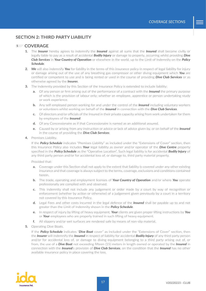## <span id="page-16-0"></span>**SECTION 2: THIRD PARTY LIABILITY**

## **COVERAGE 1**

- **1.** The *Insurer* hereby agrees to indemnify the *Insured* against all sums that the *Insured* shall become civilly or legally liable to pay as a result of accidental *Bodily Injury* or damage to property, occurring whilst providing *Dive Club Services* in *Your Country of Operation* or elsewhere in the world, up to the Limit of Indemnity on the *Policy Schedule*.
- **2.** *We* will also indemnify *You* for liability in the terms of this insurance policy in respect of legal liability for injury or damage arising out of the use of any breathing gas compressor or other diving equipment which *You* are certified or competent to use and is being rented or used in the course of providing *Dive Club Services* or as otherwise agreed by the *Insurer.*
- **3.** The indemnity provided by this Section of the Insurance Policy is extended to include liability:
	- **a.** Of any person or firm arising out of the performance of a contract with the *Insured* the primary purpose of which is the provision of labour only; whether an employee, apprentice or person undertaking study or work experience.
	- **b.** Any self-employed person working for and under the control of the *Insured* including voluntary workers or volunteers whilst working on behalf of the *Insured* in connection with the *Dive Club Services*.
	- **c.** Of directors and/or officials of the Insured in their private capacity arising from work undertaken for them by employees of the *Insured*.
	- **d.** Of any Concessionaire as if that Concessionaire is named as an additional assured.
	- **e.** Caused by or arising from any instruction or advice or lack of advice given by, or on behalf of the *Insured* in the course of providing the *Dive Club Services*.
- **4.** Premises Liability.

If the *Policy Schedule* indicates "Premises Liability" as included under the "Extensions of Cover" section, then this Insurance Policy also includes *Your* legal liability as owner and/or operator of the *Dive Centre* property specified in the *Policy Schedule* as the "Operative Location". Such legal liability is for accidental *Bodily Injury* of any third party person and/or for accidental loss of, or damage to, third party material property.

Provided that:

- **a.** Coverage under this Section shall not apply to the extent that liability is covered under any other existing insurance and that coverage is always subject to the terms, coverage, exclusions and conditions contained herein.
- **b.** The trade, operating and employment licenses of *Your Country of Operation* and/or where *You* operate professionally are complied with and observed.
- **c.** This indemnity shall not include any judgement or order made by a court by way of recognition or enforcement (whether by action or otherwise) of a judgement given previously by a court in a territory not covered by this Insurance Policy.
- **d.** Legal Fees and other costs incurred in the legal defence of the *Insured* shall be payable up to and not greater than the Limit of Indemnity shown in the *Policy Schedule*.
- **e.** In respect of injury by lifting of heavy equipment, *Your* clients are given proper lifting instructions by *You* or *Your* employees who are properly trained in such lifting of heavy equipment.
- **f.** All slippery and/or wet surfaces are rendered safe by means of non-slip material.
- **5.** Operating Dive Boats.

If the *Policy Schedule* indicates "*Dive Boat* cover" as included under the "Extensions of Cover" section, then the *Insurer* will indemnify the *Insured* in respect of liability for accidental *Bodily Injury* of any third party person and/or for accidental loss of, or damage to diving equipment belonging to a third party arising out of, or from, the use of a *Dive Boat* not exceeding fifteen (15) meters in length owned or operated by the *Insured* in connection with the *Insured*'s provision of *Dive Club Services*, on the condition that the *Insured* has no other available insurance policy in place covering the loss.

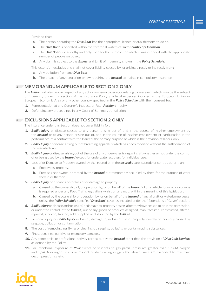Provided that:

- **a.** The person operating the *Dive Boat* has the appropriate licence or qualifications to do so.
- **b.** The *Dive Boat* is operated within the territorial waters of *Your Country of Operation*.
- **c.** The *Dive Boat* is seaworthy and only used for the purpose for which it was intended with the appropriate number of people on board.
- **d.** Any claim is subject to the *Excess* and Limit of Indemnity shown in the *Policy Schedule*.

This extension excludes and shall not cover liability caused by, or arising directly or indirectly from:

- **a.** Any pollution from any *Dive Boat*.
- **b.** The breach of any regulation or law requiring the *Insured* to maintain compulsory insurance.

#### **MEMORANDUM APPLICABLE TO SECTION 2 ONLY 2**

The *Insurer* will also pay, in respect of any act or omission causing or relating to any event which may be the subject of indemnity under this section of the Insurance Policy any legal expenses incurred in the European Union or European Economic Area or any other country specified in the *Policy Schedule* with their consent for:

- **1.** Representation at any Coroner's Inquest, or Fatal *Accident* Inquiry.
- **2.** Defending any proceedings in any Court of Summary Jurisdiction.

#### **EXCLUSIONS APPLICABLE TO SECTION 2 ONLY 3**

The insurance under this Section does not cover liability for:

- **1.** *Bodily Injury* or disease caused to any person arising out of, and in the course of, his/her employment by the *Insured* or to any person arising out of, and in the course of, his/her employment or participation in the performance of a contract with the Insured, the primary purpose of which is the provision of labour only.
- **2.** *Bodily Injury* or disease arising out of breathing apparatus which has been modified without the authorisation of the manufacturer.
- **3.** *Bodily Injury* or disease arising out of the use of any underwater transport craft whether or not under the control of or being used by the *Insured* except for underwater scooters for individual use.
- **4.** Loss of or Damage to Property owned by the Insured or in the *Insured*'s care, custody or control, other than:
	- **a.** Employees' property.
	- **b.** Premises not owned or rented by the *Insured* but temporarily occupied by them for the purpose of work therein or thereon.
- **5.** *Bodily Injury* or disease and/or loss of or damage to property:
	- **a.** Caused by the ownership of, or operation by, or on behalf of the *Insured* of any vehicle for which insurance is required under any Road Traffic legislation, whilst on any road, within the meaning of this legislation.
	- **b.** Caused by the ownership or operation by, or on behalf of the *Insured* of any aircraft or waterborne vessel unless the *Policy Schedule* specifies "*Dive Boat*" cover as included under the "Extensions of Cover" section.
- **6.** *Bodily Injury* or disease and/or loss of, or damage to, property arising (after they have ceased to be in the possession, or under the control, of the *Insured*) out of any goods or products designed, manufactured, constructed, altered, repaired, serviced, treated, sold, supplied or distributed by the *Insured*.
- **7.** Personal injury or *Bodily Injury* or loss of, damage to, or loss of use of property, directly or indirectly caused by seepage, pollution or contamination.
- **8.** The cost of removing, nullifying or cleaning-up seeping, polluting or contaminating substances.
- **9.** Fines, penalties, punitive or exemplary damages.
- **10.** Any commercial or professional activity carried out by the *Insured* other than the provision of *Dive Club Services* as defined by the Policy.
- **11.** For Intentional exposure of *Your* clients or students to gas partial pressures greater than 1,6ATA oxygen and 5,6ATA nitrogen unless in respect of dives using oxygen the above limits are exceeded to maximize decompression safety.

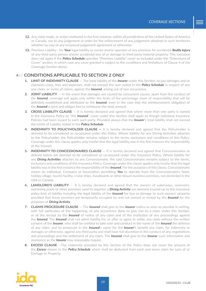- **12.** Any claim made, or action instituted in the first instance, within all jurisdictions of the United States of America or Canada, nor to any judgement or order for the enforcement of any judgement obtained in such territories whether by way of any reciprocal judgement agreement or otherwise.
- **13.** Premises Liability for *Your* legal liability as owner and/or operator of any premises for accidental *Bodily Injury*  of any third-party person and/or accidental loss of or damage to third party material property. This exclusion does not apply if the *Policy Schedule* specifies "Premises Liability" cover as included under the "Extensions of Cover" section, in which case any cover granted is subject to the conditions and limitations of Clause 4 of the Coverage Section above.

## **CONDITIONS APPLICABLE TO SECTION 2 ONLY 4**

- **1. LIMIT OF INDEMNITY CLAUSE** The total liability of the *Insurer* under this Section, to pay damages and or claimants costs, fees and expenses, shall not exceed the sum stated in the *Policy Schedule* in respect of any one claim, or series of claims, against the *Insured*, arising out of one occurrence.
- **2. JOINT LIABILITY** In the event that damages are caused by concurrent causes, apart from the conduct of the *Insured*, coverage will apply only within the limits of the percentage share of responsibility that will be definitely established and attributed to the *Insured*, even in the case that the reimbursement obligation of the *Insured* is joint and obliges him to reimburse the total amount.
- **3. CROSS LIABILITY CLAUSE** It is hereby declared and agreed that where more than one party is named in the Insurance Policy as "the *Insured*", cover under this Section shall apply as though individual Insurance Policies had been issued to each such party. Provided always that the *Insurer*'s total liability shall not exceed the Limits of Liability stated in the *Policy Schedule*.
- **4. INDEMNITY TO POLICYHOLDER CLAUSE** It is hereby declared and agreed that the Policyholder is deemed to be considered as co-assured under this Policy. Where liability for any Diving Activities attaches to the Policyholder, the Policyholder remains subject to the terms, exclusions and conditions of this Policy. Coverage under this clause applies only insofar that the legal liability was in the first instance the responsibility of the Insured.
- **5. INDEMNITY TO CONCESSIONAIRES CLAUSE** It is hereby declared and agreed that Concessionaires as defined below are deemed to be considered as co-assured under this Insurance Policy. Where liability for any *Diving Activities* attaches to any Concessionaire, the said Concessionaire remains subject to the terms, exclusions and conditions of this Insurance Policy. Coverage under this clause applies only insofar that the legal liability was in the first instance the responsibility of the *Insured*. For the purposes of this clause, Concessionaire means an individual, Company or Association permitting *You* to operate from the Concessionaire's hotel, holiday village, tourist facility, cruise ships, liveaboards or other leisure business premises, not domiciled in the USA or Canada.
- **6. LANDLORD'S LIABILITY** It is hereby declared and agreed that the owners of waterways, reservoirs, swimming pools or other premises used to organise a *Diving Activity* are deemed insured up to the insurance policy limit of liability including the legal liability of the *Insured* for loss or damage to such owners' property provided that these premises are temporarily occupied by and not owned or rented by the *Insured* for the purposes of *Diving Activity*.
- **7. CLAIMS PROCEDURE CLAUSE** The *Insured* shall give to the *Insurer* notice as soon as possible in writing, with full particulars of the happening, of any occurrence likely to give rise to a claim under this Section, or of the receipt by the *Insured* of notice of any claim and of the institution of any proceedings against the *Insured*. The *Insured* shall not admit liability for, or offer or agree to settle, any claim without the written consent of the *Insurer*, who shall be entitled to take over and conduct in the name of the *Insured* the defence of any claim, and to prosecute in the *Insured*'s name for the *Insurer'*s benefit any claim, for indemnity or damages or otherwise, against any third party and shall have full discretion in the conduct of any negotiations and proceedings and the settlement of any claim. The *Insured* shall give to the *Insurer* such information and assistance as the *Insurer* may reasonably require.
- **8. EXCESS CLAUSE** —The indemnity provided by this Section of the Policy does not cover the amount of the *Excess* shown in the *Policy Schedule* which shall be deducted from each and every claim for Loss of or Damage to Property.

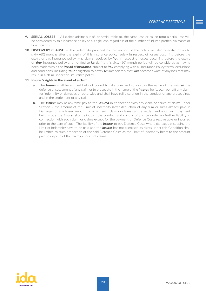- **9. SERIAL LOSSES** All claims arising out of, or attributable to, the same loss or cause form a serial loss will be considered by this insurance policy as a single loss, regardless of the number of injured parties, claimants or beneficiaries.
- 10. **DISCOVERY CLAUSE** The indemnity provided by this section of the policy will also operate for up to sixty (60) months after the expiry of this insurance policy; solely in respect of losses occurring before the expiry of this insurance policy. Any claims received by *You* in respect of losses occurring before the expiry of *Your* insurance policy and notified to *Us* during this sixty (60) month period will be considered as having been made within the *Period of Insurance*, subject to *You* complying with all Insurance Policy terms, exclusions and conditions, including *Your* obligation to notify *Us* immediately that *You* become aware of any loss that may result in a claim under this insurance policy.

#### **11. Insurer's rights in the event of a claim**

- **a.** The *Insurer* shall be entitled but not bound to take over and conduct in the name of the *Insured* the defence or settlement of any claim or to prosecute in the name of the *Insured* for its own benefit any claim for indemnity or damages or otherwise and shall have full discretion in the conduct of any proceedings and in the settlement of any claim.
- **b.** The *Insurer* may at any time pay to the *Insured* in connection with any claim or series of claims under Section 2 the amount of the Limit of Indemnity (after deduction of any sum or sums already paid in Damages) or any lesser amount for which such claim or claims can be settled and upon such payment being made the *Insurer* shall relinquish the conduct and control of and be under no further liability in connection with such claim or claims except for the payment of Defence Costs recoverable or incurred prior to the date of such. The liability of the *Insurer* to pay Defence Costs where damages exceeding the Limit of Indemnity have to be paid and the *Insurer* has not exercised its rights under this Condition shall be limited to such proportion of the said Defence Costs as the Limit of Indemnity bears to the amount paid to dispose of the claim or series of claims.

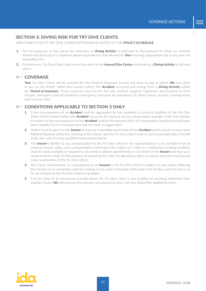## <span id="page-20-0"></span>**SECTION 3: DIVING RISK FOR TRY DIVE CLIENTS**

APPLICABLE ONLY IF TRY DIVE COVER EXTENSION IS NOTED IN THE **POLICY SCHEDULE***.*

- **1.** For the purposes of this clause the definition of *Diving Activity* is restricted to Recreational Try Dives (or similarly limited trial dives) up to a maximum depth equivalent to that allowed by *Your* teaching organisation but in any case not exceeding 15m.
- **2.** Furthermore, Try Dive Client shall mean the client of the *Insured Dive Centre* undertaking a *Diving Activity* as defined above.

#### **COVERAGE 1**

*Your* Try Dive Client will be covered for the Medical Expenses he/she will have to pay or which *We* may elect to pay on his behalf, within the country where the *Accident* occurred and arising from a *Diving Activity* within the *Period of Insurance*. These expenses must be for first aid, medical, surgical, hyperbaric and hospital or clinic charges, emergency dental treatment, emergency transport by ambulance (or other rescue service), nursing home and nursing costs.

## **CONDITIONS APPLICABLE TO SECTION 3 ONLY 2**

- **1.** If the consequences of an *Accident* shall be aggravated by any condition or physical disability of the Try Dive Client which existed before the *Accident* occurred, the amount of any compensation payable under this Section in respect of the consequences of the *Accident* shall be the amount which it is reasonably considered would have been payable if such consequences had not been so aggravated.
- **2.** Notice must be given to the *Insurer* as soon as reasonably practicable of any *Accident* which causes or may cause Medical Expense within the meaning of this clause, and the Try Dive Client must as early as possible place himself under the care of a duly qualified medical practitioner.
- **3.** The *Insurer*'s liability to pay compensation to the Try Dive Client or his representatives is on condition that all medical records, notes, and correspondence referring to the subject of a claim or a related pre-existing condition shall be made available on request to any medical adviser appointed by or on behalf of the *Insurer* and that such medical adviser shall, for the purpose of reviewing the claim, be allowed so often as may be deemed necessary to make examination of the Try Dive Client.
- **4.** Any fraud, misstatement, or concealment by an *Insured* or the Try Dive Client in relation to any matter affecting this Section or in connection with the making of any claim hereunder shall render this Section null and void in so far as it relates to the Try Dive Client in question.
- **5.** If at the time of an occurrence insured above the Try Dive Client is also entitled to receiving indemnity from another insurer *We* will only pay the amount not covered by them and any deductible applied by them.

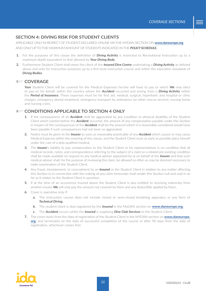## <span id="page-21-0"></span>**SECTION 4: DIVING RISK FOR STUDENT CLIENTS**

APPLICABLE ONLY IN RESPECT OF STUDENT DECLARED ONLINE VIA THE MYDAN SECTION ON **[www.daneurope.org](http://www.daneurope.org/home)** AND ONLY UP TO THE MAXIMUM AMOUNT OF STUDENTS INDICATED IN THE *POLICY SCHEDULE.*

- **1.** For the purposes of this clause the definition of *Diving Activity* is restricted to Recreational Instruction up to a maximum depth equivalent to that allowed by *Your Diving Body*.
- **2.** Furthermore Student Client shall mean the client of the *Insured Dive Centre* undertaking a *Diving Activity* as defined above and only for instruction purposes up to a first level instruction course and within the execution standards of *Diving Bodies*.

## **COVERAGE 1**

*Your* Student Client will be covered for the Medical Expenses he/she will have to pay or which *We* may elect to pay on his behalf, within the country where the *Accident* occurred and arising from a *Diving Activity* within the *Period of Insurance*. These expenses must be for first aid, medical, surgical, hyperbaric and hospital or clinic charges, emergency dental treatment, emergency transport by ambulance (or other rescue service), nursing home and nursing costs.

## **CONDITIONS APPLICABLE TO SECTION 4 ONLY 2**

- **1.** If the consequences of an *Accident* shall be aggravated by any condition or physical disability of the Student Client which existed before the *Accident* occurred, the amount of any compensation payable under this Section in respect of the consequences of the *Accident* shall be the amount which it is reasonably considered would have been payable if such consequences had not been so aggravated.
- **2.** Notice must be given to the *Insurer* as soon as reasonably practicable of any *Accident* which causes or may cause Medical Expense within the meaning of this clause, and the Student Client must as early as possible place himself under the care of a duly qualified medical.
- **3.** The *Insurer*'s liability to pay compensation to the Student Client or his representatives is on condition that all medical records, notes, and correspondence referring to the subject of a claim or a related pre-existing condition shall be made available on request to any medical adviser appointed by or on behalf of the *Insurer* and that such medical adviser shall, for the purpose of reviewing the claim, be allowed so often as may be deemed necessary to make examination of the Student Client.
- **4.** Any fraud, misstatement, or concealment by an *Insured* or the Student Client in relation to any matter affecting this Section or in connection with the making of any claim hereunder shall render this Section null and void in so far as it relates to the Student Client in question.
- **5.** If at the time of an occurrence insured above the Student Client is also entitled to receiving indemnity from another insurer *We* will only pay the amount not covered by them and any deductible applied by them.
- **6.** Cover is operative only if:
	- **a.** The instruction course does not include closed or semi-closed breathing apparatus or any form of *Technical Diving.*
	- **b.** The student client is duly registered by the *Insured* in the MyDAN section on **[www.daneurope.org](http://www.daneurope.org/home)**.
	- **c.** The *Accident* occurs whilst the *Insured* is supplying *Dive Club Services* to the Student Client.
- **7.** The cover starts from the date of registration of the Student Client in the MYDAN section on **[www.daneurope.](http://www.daneurope.org/home) [org](http://www.daneurope.org/home)**, and terminates on the date of successful completion of the course or after 90 days from the date of registration, whichever comes first.